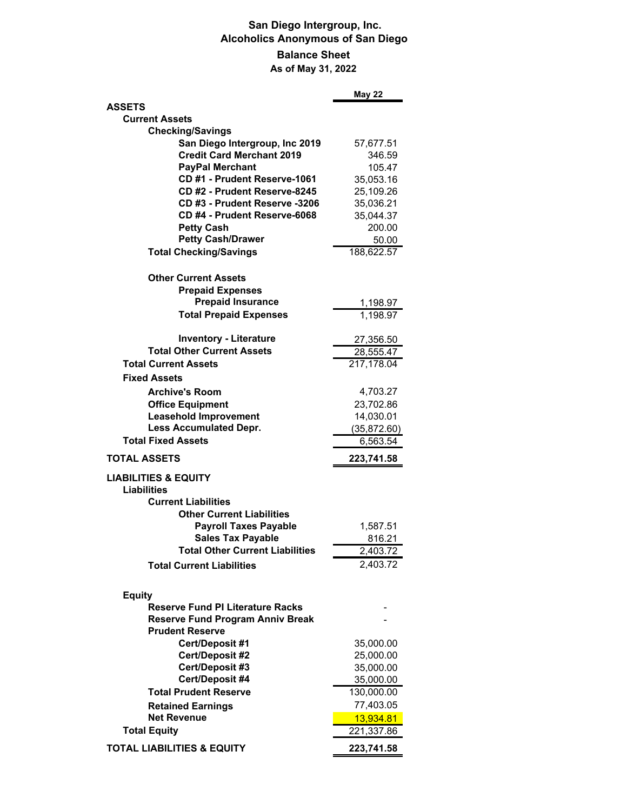## **San Diego Intergroup, Inc. Alcoholics Anonymous of San Diego Balance Sheet As of May 31, 2022**

|                                                                    | <b>May 22</b> |
|--------------------------------------------------------------------|---------------|
| <b>ASSETS</b>                                                      |               |
| <b>Current Assets</b>                                              |               |
| <b>Checking/Savings</b>                                            |               |
| San Diego Intergroup, Inc 2019                                     | 57,677.51     |
| <b>Credit Card Merchant 2019</b>                                   | 346.59        |
| <b>PayPal Merchant</b>                                             | 105.47        |
| CD #1 - Prudent Reserve-1061                                       | 35,053.16     |
| CD #2 - Prudent Reserve-8245                                       | 25,109.26     |
| CD #3 - Prudent Reserve -3206                                      | 35,036.21     |
| CD #4 - Prudent Reserve-6068                                       | 35,044.37     |
| <b>Petty Cash</b>                                                  | 200.00        |
| <b>Petty Cash/Drawer</b>                                           | 50.00         |
| <b>Total Checking/Savings</b>                                      | 188,622.57    |
| <b>Other Current Assets</b>                                        |               |
| <b>Prepaid Expenses</b>                                            |               |
| <b>Prepaid Insurance</b>                                           | 1,198.97      |
| <b>Total Prepaid Expenses</b>                                      | 1,198.97      |
|                                                                    |               |
| <b>Inventory - Literature</b><br><b>Total Other Current Assets</b> | 27,356.50     |
|                                                                    | 28,555.47     |
| <b>Total Current Assets</b>                                        | 217,178.04    |
| <b>Fixed Assets</b>                                                |               |
| <b>Archive's Room</b>                                              | 4,703.27      |
| <b>Office Equipment</b>                                            | 23,702.86     |
| <b>Leasehold Improvement</b>                                       | 14,030.01     |
| <b>Less Accumulated Depr.</b>                                      | (35,872.60)   |
| <b>Total Fixed Assets</b>                                          | 6,563.54      |
| <b>TOTAL ASSETS</b>                                                | 223,741.58    |
| <b>LIABILITIES &amp; EQUITY</b><br>Liabilities                     |               |
| <b>Current Liabilities</b>                                         |               |
| <b>Other Current Liabilities</b>                                   |               |
|                                                                    |               |
| <b>Payroll Taxes Payable</b>                                       | 1,587.51      |
| <b>Sales Tax Payable</b>                                           | 816.21        |
| Total Other Current Liabilities                                    | 2,403.72      |
| <b>Total Current Liabilities</b>                                   | 2,403.72      |
| <b>Equity</b>                                                      |               |
| <b>Reserve Fund PI Literature Racks</b>                            |               |
| <b>Reserve Fund Program Anniv Break</b>                            |               |
| <b>Prudent Reserve</b>                                             |               |
| <b>Cert/Deposit #1</b>                                             | 35,000.00     |
| <b>Cert/Deposit #2</b>                                             | 25,000.00     |
| Cert/Deposit #3                                                    | 35,000.00     |
| Cert/Deposit #4                                                    | 35,000.00     |
| <b>Total Prudent Reserve</b>                                       | 130,000.00    |
| <b>Retained Earnings</b>                                           | 77,403.05     |
| <b>Net Revenue</b>                                                 | 13,934.81     |
| <b>Total Equity</b>                                                | 221,337.86    |
| <b>TOTAL LIABILITIES &amp; EQUITY</b>                              | 223,741.58    |
|                                                                    |               |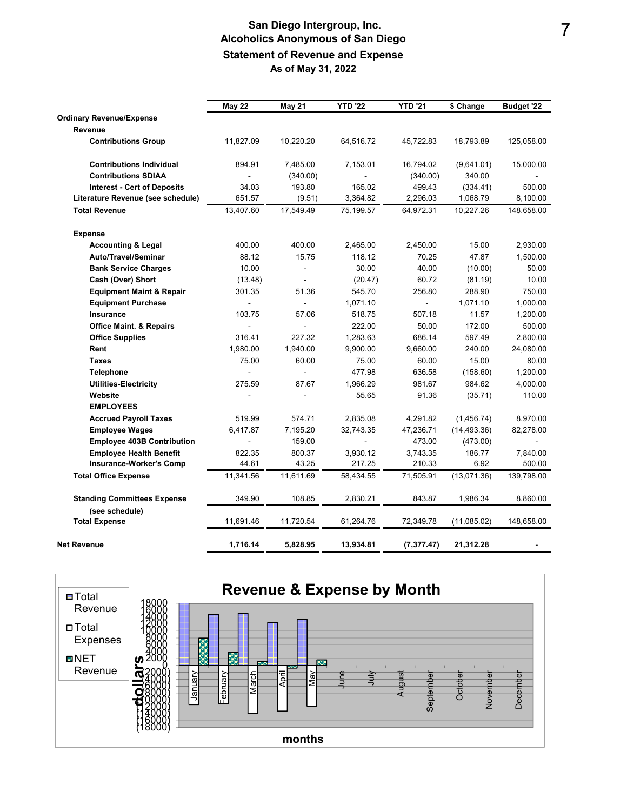## **San Diego Intergroup, Inc. Alcoholics Anonymous of San Diego Statement of Revenue and Expense As of May 31, 2022**

|                                     | <b>May 22</b>  | May 21         | <b>YTD '22</b> | <b>YTD '21</b> | \$ Change    | Budget '22 |
|-------------------------------------|----------------|----------------|----------------|----------------|--------------|------------|
| <b>Ordinary Revenue/Expense</b>     |                |                |                |                |              |            |
| Revenue                             |                |                |                |                |              |            |
| <b>Contributions Group</b>          | 11,827.09      | 10,220.20      | 64,516.72      | 45,722.83      | 18,793.89    | 125,058.00 |
| <b>Contributions Individual</b>     | 894.91         | 7,485.00       | 7,153.01       | 16,794.02      | (9,641.01)   | 15,000.00  |
| <b>Contributions SDIAA</b>          | $\overline{a}$ | (340.00)       | $\sim$         | (340.00)       | 340.00       |            |
| <b>Interest - Cert of Deposits</b>  | 34.03          | 193.80         | 165.02         | 499.43         | (334.41)     | 500.00     |
| Literature Revenue (see schedule)   | 651.57         | (9.51)         | 3,364.82       | 2,296.03       | 1,068.79     | 8,100.00   |
| <b>Total Revenue</b>                | 13,407.60      | 17,549.49      | 75,199.57      | 64,972.31      | 10,227.26    | 148,658.00 |
| <b>Expense</b>                      |                |                |                |                |              |            |
| <b>Accounting &amp; Legal</b>       | 400.00         | 400.00         | 2,465.00       | 2,450.00       | 15.00        | 2,930.00   |
| Auto/Travel/Seminar                 | 88.12          | 15.75          | 118.12         | 70.25          | 47.87        | 1,500.00   |
| <b>Bank Service Charges</b>         | 10.00          | $\blacksquare$ | 30.00          | 40.00          | (10.00)      | 50.00      |
| Cash (Over) Short                   | (13.48)        | ÷.             | (20.47)        | 60.72          | (81.19)      | 10.00      |
| <b>Equipment Maint &amp; Repair</b> | 301.35         | 51.36          | 545.70         | 256.80         | 288.90       | 750.00     |
| <b>Equipment Purchase</b>           | L,             | $\overline{a}$ | 1,071.10       | ÷.             | 1,071.10     | 1,000.00   |
| <b>Insurance</b>                    | 103.75         | 57.06          | 518.75         | 507.18         | 11.57        | 1,200.00   |
| <b>Office Maint. &amp; Repairs</b>  | L,             | ÷.             | 222.00         | 50.00          | 172.00       | 500.00     |
| <b>Office Supplies</b>              | 316.41         | 227.32         | 1,283.63       | 686.14         | 597.49       | 2,800.00   |
| Rent                                | 1,980.00       | 1,940.00       | 9,900.00       | 9,660.00       | 240.00       | 24,080.00  |
| <b>Taxes</b>                        | 75.00          | 60.00          | 75.00          | 60.00          | 15.00        | 80.00      |
| <b>Telephone</b>                    | ÷.             | $\mathbf{r}$   | 477.98         | 636.58         | (158.60)     | 1,200.00   |
| <b>Utilities-Electricity</b>        | 275.59         | 87.67          | 1,966.29       | 981.67         | 984.62       | 4,000.00   |
| Website                             |                |                | 55.65          | 91.36          | (35.71)      | 110.00     |
| <b>EMPLOYEES</b>                    |                |                |                |                |              |            |
| <b>Accrued Payroll Taxes</b>        | 519.99         | 574.71         | 2,835.08       | 4,291.82       | (1,456.74)   | 8,970.00   |
| <b>Employee Wages</b>               | 6,417.87       | 7,195.20       | 32,743.35      | 47,236.71      | (14, 493.36) | 82,278.00  |
| <b>Employee 403B Contribution</b>   |                | 159.00         |                | 473.00         | (473.00)     |            |
| <b>Employee Health Benefit</b>      | 822.35         | 800.37         | 3,930.12       | 3,743.35       | 186.77       | 7,840.00   |
| <b>Insurance-Worker's Comp</b>      | 44.61          | 43.25          | 217.25         | 210.33         | 6.92         | 500.00     |
| <b>Total Office Expense</b>         | 11,341.56      | 11,611.69      | 58,434.55      | 71,505.91      | (13,071.36)  | 139,798.00 |
| <b>Standing Committees Expense</b>  | 349.90         | 108.85         | 2,830.21       | 843.87         | 1,986.34     | 8,860.00   |
| (see schedule)                      |                |                |                |                |              |            |
| <b>Total Expense</b>                | 11,691.46      | 11,720.54      | 61,264.76      | 72,349.78      | (11,085.02)  | 148,658.00 |
| Net Revenue                         | 1,716.14       | 5,828.95       | 13,934.81      | (7, 377.47)    | 21,312.28    |            |

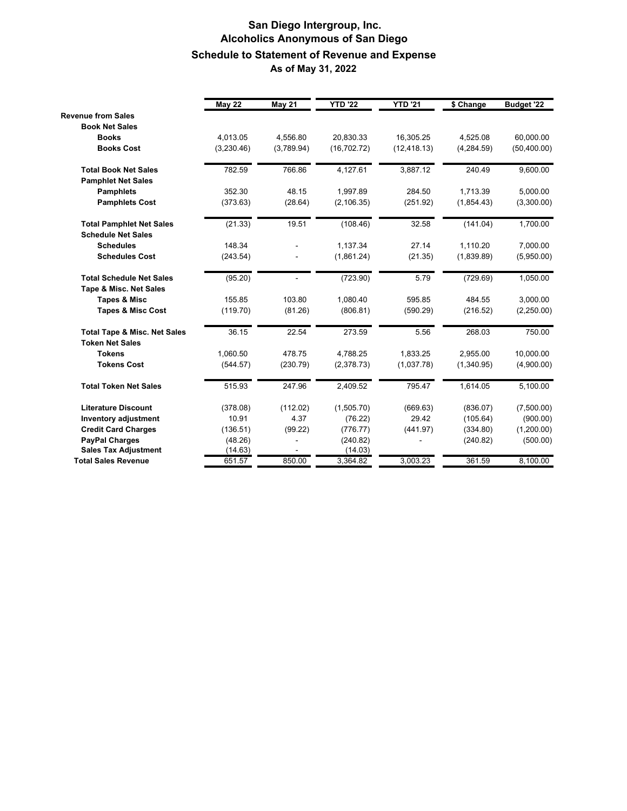## **San Diego Intergroup, Inc. Alcoholics Anonymous of San Diego Schedule to Statement of Revenue and Expense As of May 31, 2022**

|                                                                   | <b>May 22</b> | <b>May 21</b> | <b>YTD '22</b> | <b>YTD '21</b> | \$ Change   | Budget '22   |
|-------------------------------------------------------------------|---------------|---------------|----------------|----------------|-------------|--------------|
| <b>Revenue from Sales</b>                                         |               |               |                |                |             |              |
| <b>Book Net Sales</b>                                             |               |               |                |                |             |              |
| <b>Books</b>                                                      | 4,013.05      | 4,556.80      | 20,830.33      | 16,305.25      | 4.525.08    | 60,000.00    |
| <b>Books Cost</b>                                                 | (3,230.46)    | (3,789.94)    | (16, 702.72)   | (12, 418.13)   | (4, 284.59) | (50, 400.00) |
| <b>Total Book Net Sales</b>                                       | 782.59        | 766.86        | 4,127.61       | 3.887.12       | 240.49      | 9,600.00     |
| <b>Pamphlet Net Sales</b>                                         |               |               |                |                |             |              |
| <b>Pamphlets</b>                                                  | 352.30        | 48.15         | 1.997.89       | 284.50         | 1.713.39    | 5.000.00     |
| <b>Pamphlets Cost</b>                                             | (373.63)      | (28.64)       | (2, 106.35)    | (251.92)       | (1,854.43)  | (3,300.00)   |
| <b>Total Pamphlet Net Sales</b>                                   | (21.33)       | 19.51         | (108.46)       | 32.58          | (141.04)    | 1,700.00     |
| <b>Schedule Net Sales</b>                                         |               |               |                |                |             |              |
| <b>Schedules</b>                                                  | 148.34        |               | 1,137.34       | 27.14          | 1,110.20    | 7,000.00     |
| <b>Schedules Cost</b>                                             | (243.54)      |               | (1,861.24)     | (21.35)        | (1,839.89)  | (5,950.00)   |
| <b>Total Schedule Net Sales</b>                                   | (95.20)       | ÷.            | (723.90)       | 5.79           | (729.69)    | 1,050.00     |
| Tape & Misc. Net Sales                                            |               |               |                |                |             |              |
| <b>Tapes &amp; Misc</b>                                           | 155.85        | 103.80        | 1,080.40       | 595.85         | 484.55      | 3,000.00     |
| <b>Tapes &amp; Misc Cost</b>                                      | (119.70)      | (81.26)       | (806.81)       | (590.29)       | (216.52)    | (2,250.00)   |
| <b>Total Tape &amp; Misc. Net Sales</b><br><b>Token Net Sales</b> | 36.15         | 22.54         | 273.59         | 5.56           | 268.03      | 750.00       |
| <b>Tokens</b>                                                     | 1.060.50      | 478.75        | 4,788.25       | 1,833.25       | 2.955.00    | 10.000.00    |
| <b>Tokens Cost</b>                                                | (544.57)      | (230.79)      | (2,378.73)     | (1,037.78)     | (1,340.95)  | (4,900.00)   |
| <b>Total Token Net Sales</b>                                      | 515.93        | 247.96        | 2,409.52       | 795.47         | 1,614.05    | 5,100.00     |
| <b>Literature Discount</b>                                        | (378.08)      | (112.02)      | (1,505.70)     | (669.63)       | (836.07)    | (7,500.00)   |
| <b>Inventory adjustment</b>                                       | 10.91         | 4.37          | (76.22)        | 29.42          | (105.64)    | (900.00)     |
| <b>Credit Card Charges</b>                                        | (136.51)      | (99.22)       | (776.77)       | (441.97)       | (334.80)    | (1,200.00)   |
| <b>PayPal Charges</b>                                             | (48.26)       |               | (240.82)       |                | (240.82)    | (500.00)     |
| <b>Sales Tax Adjustment</b>                                       | (14.63)       |               | (14.03)        |                |             |              |
| <b>Total Sales Revenue</b>                                        | 651.57        | 850.00        | 3,364.82       | 3,003.23       | 361.59      | 8,100.00     |